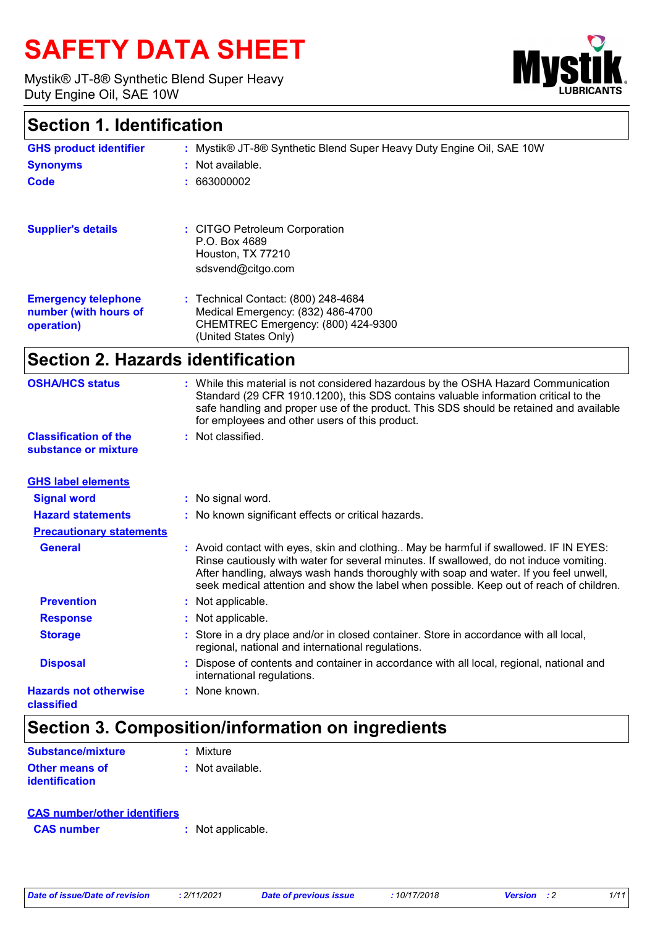# **SAFETY DATA SHEET**

Mystik® JT-8® Synthetic Blend Super Heavy Duty Engine Oil, SAE 10W



## **Section 1. Identification**

| <b>GHS product identifier</b>                                     | : Mystik® JT-8® Synthetic Blend Super Heavy Duty Engine Oil, SAE 10W                                                                   |
|-------------------------------------------------------------------|----------------------------------------------------------------------------------------------------------------------------------------|
| <b>Synonyms</b>                                                   | : Not available.                                                                                                                       |
| Code                                                              | : 663000002                                                                                                                            |
| <b>Supplier's details</b>                                         | : CITGO Petroleum Corporation<br>P.O. Box 4689<br>Houston, TX 77210                                                                    |
|                                                                   | sdsvend@citgo.com                                                                                                                      |
| <b>Emergency telephone</b><br>number (with hours of<br>operation) | : Technical Contact: (800) 248-4684<br>Medical Emergency: (832) 486-4700<br>CHEMTREC Emergency: (800) 424-9300<br>(United States Only) |

## **Section 2. Hazards identification**

| <b>OSHA/HCS status</b>                               | : While this material is not considered hazardous by the OSHA Hazard Communication<br>Standard (29 CFR 1910.1200), this SDS contains valuable information critical to the<br>safe handling and proper use of the product. This SDS should be retained and available<br>for employees and other users of this product.                                               |
|------------------------------------------------------|---------------------------------------------------------------------------------------------------------------------------------------------------------------------------------------------------------------------------------------------------------------------------------------------------------------------------------------------------------------------|
| <b>Classification of the</b><br>substance or mixture | : Not classified.                                                                                                                                                                                                                                                                                                                                                   |
| <b>GHS label elements</b>                            |                                                                                                                                                                                                                                                                                                                                                                     |
| <b>Signal word</b>                                   | : No signal word.                                                                                                                                                                                                                                                                                                                                                   |
| <b>Hazard statements</b>                             | : No known significant effects or critical hazards.                                                                                                                                                                                                                                                                                                                 |
| <b>Precautionary statements</b>                      |                                                                                                                                                                                                                                                                                                                                                                     |
| <b>General</b>                                       | : Avoid contact with eyes, skin and clothing May be harmful if swallowed. IF IN EYES:<br>Rinse cautiously with water for several minutes. If swallowed, do not induce vomiting.<br>After handling, always wash hands thoroughly with soap and water. If you feel unwell,<br>seek medical attention and show the label when possible. Keep out of reach of children. |
| <b>Prevention</b>                                    | : Not applicable.                                                                                                                                                                                                                                                                                                                                                   |
| <b>Response</b>                                      | : Not applicable.                                                                                                                                                                                                                                                                                                                                                   |
| <b>Storage</b>                                       | : Store in a dry place and/or in closed container. Store in accordance with all local,<br>regional, national and international regulations.                                                                                                                                                                                                                         |
| <b>Disposal</b>                                      | Dispose of contents and container in accordance with all local, regional, national and<br>international regulations.                                                                                                                                                                                                                                                |
| <b>Hazards not otherwise</b><br>classified           | $:$ None known.                                                                                                                                                                                                                                                                                                                                                     |

## **Section 3. Composition/information on ingredients**

| Substance/mixture                       | : Mixture          |
|-----------------------------------------|--------------------|
| <b>Other means of</b><br>identification | $:$ Not available. |

### **CAS number/other identifiers**

**CAS number :** Not applicable.

| Date of issue/Date of revision | .2/11/2021 | Date of previous issue | 10/17/2018 | <b>Version</b> : 2 | 1/11 |
|--------------------------------|------------|------------------------|------------|--------------------|------|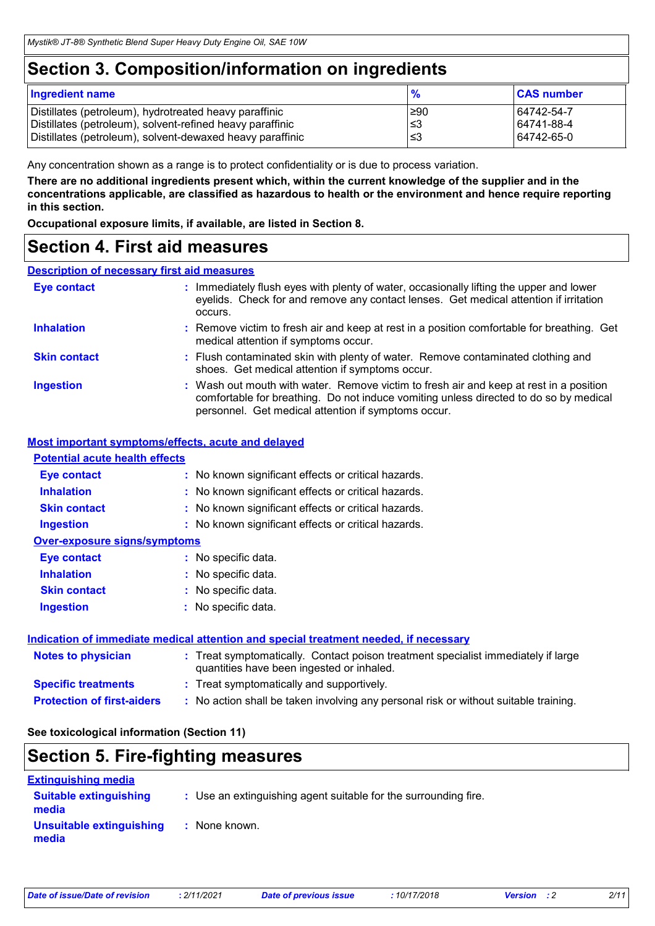## **Section 3. Composition/information on ingredients**

| <b>Ingredient name</b>                                    | $\frac{9}{6}$ | <b>CAS number</b> |
|-----------------------------------------------------------|---------------|-------------------|
| Distillates (petroleum), hydrotreated heavy paraffinic    | l≥90          | 64742-54-7        |
| Distillates (petroleum), solvent-refined heavy paraffinic | l≤3           | 64741-88-4        |
| Distillates (petroleum), solvent-dewaxed heavy paraffinic | צ≥            | 64742-65-0        |

Any concentration shown as a range is to protect confidentiality or is due to process variation.

**There are no additional ingredients present which, within the current knowledge of the supplier and in the concentrations applicable, are classified as hazardous to health or the environment and hence require reporting in this section.**

**Occupational exposure limits, if available, are listed in Section 8.**

## **Section 4. First aid measures**

#### **Description of necessary first aid measures**

| <b>Eye contact</b>  | : Immediately flush eyes with plenty of water, occasionally lifting the upper and lower<br>eyelids. Check for and remove any contact lenses. Get medical attention if irritation<br>occurs.                                            |
|---------------------|----------------------------------------------------------------------------------------------------------------------------------------------------------------------------------------------------------------------------------------|
| <b>Inhalation</b>   | : Remove victim to fresh air and keep at rest in a position comfortable for breathing. Get<br>medical attention if symptoms occur.                                                                                                     |
| <b>Skin contact</b> | : Flush contaminated skin with plenty of water. Remove contaminated clothing and<br>shoes. Get medical attention if symptoms occur.                                                                                                    |
| <b>Ingestion</b>    | : Wash out mouth with water. Remove victim to fresh air and keep at rest in a position<br>comfortable for breathing. Do not induce vomiting unless directed to do so by medical<br>personnel. Get medical attention if symptoms occur. |

#### **Most important symptoms/effects, acute and delayed**

#### **Potential acute health effects**

| <b>Eye contact</b>           | : No known significant effects or critical hazards. |
|------------------------------|-----------------------------------------------------|
| <b>Inhalation</b>            | : No known significant effects or critical hazards. |
| <b>Skin contact</b>          | : No known significant effects or critical hazards. |
| <b>Ingestion</b>             | : No known significant effects or critical hazards. |
| Over-exposure signs/symptoms |                                                     |
| <b>Eye contact</b>           | : No specific data.                                 |
| <b>Inhalation</b>            | : No specific data.                                 |
| <b>Skin contact</b>          | : No specific data.                                 |
| <b>Ingestion</b>             | No specific data.                                   |

#### **Indication of immediate medical attention and special treatment needed, if necessary**

| <b>Notes to physician</b>         | : Treat symptomatically. Contact poison treatment specialist immediately if large<br>quantities have been ingested or inhaled. |
|-----------------------------------|--------------------------------------------------------------------------------------------------------------------------------|
| <b>Specific treatments</b>        | : Treat symptomatically and supportively.                                                                                      |
| <b>Protection of first-aiders</b> | : No action shall be taken involving any personal risk or without suitable training.                                           |

#### **See toxicological information (Section 11)**

## **Section 5. Fire-fighting measures**

| <b>Extinguishing media</b>             |                                                                 |
|----------------------------------------|-----------------------------------------------------------------|
| <b>Suitable extinguishing</b><br>media | : Use an extinguishing agent suitable for the surrounding fire. |
| Unsuitable extinguishing<br>media      | : None known.                                                   |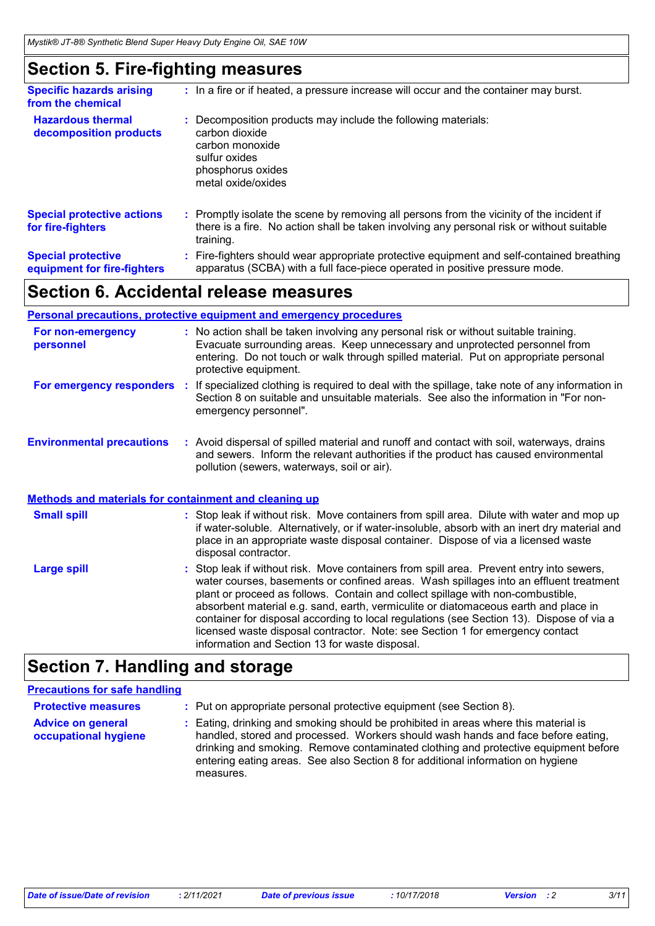## **Section 5. Fire-fighting measures**

| <b>Specific hazards arising</b><br>from the chemical     | : In a fire or if heated, a pressure increase will occur and the container may burst.                                                                                                               |
|----------------------------------------------------------|-----------------------------------------------------------------------------------------------------------------------------------------------------------------------------------------------------|
| <b>Hazardous thermal</b><br>decomposition products       | Decomposition products may include the following materials:<br>carbon dioxide<br>carbon monoxide<br>sulfur oxides<br>phosphorus oxides<br>metal oxide/oxides                                        |
| <b>Special protective actions</b><br>for fire-fighters   | : Promptly isolate the scene by removing all persons from the vicinity of the incident if<br>there is a fire. No action shall be taken involving any personal risk or without suitable<br>training. |
| <b>Special protective</b><br>equipment for fire-fighters | : Fire-fighters should wear appropriate protective equipment and self-contained breathing<br>apparatus (SCBA) with a full face-piece operated in positive pressure mode.                            |

## **Section 6. Accidental release measures**

|                                                              | Personal precautions, protective equipment and emergency procedures                                                                                                                                                                                                                  |
|--------------------------------------------------------------|--------------------------------------------------------------------------------------------------------------------------------------------------------------------------------------------------------------------------------------------------------------------------------------|
| For non-emergency<br>personnel                               | : No action shall be taken involving any personal risk or without suitable training.<br>Evacuate surrounding areas. Keep unnecessary and unprotected personnel from<br>entering. Do not touch or walk through spilled material. Put on appropriate personal<br>protective equipment. |
| For emergency responders                                     | If specialized clothing is required to deal with the spillage, take note of any information in<br>Section 8 on suitable and unsuitable materials. See also the information in "For non-<br>emergency personnel".                                                                     |
| <b>Environmental precautions</b>                             | : Avoid dispersal of spilled material and runoff and contact with soil, waterways, drains<br>and sewers. Inform the relevant authorities if the product has caused environmental<br>pollution (sewers, waterways, soil or air).                                                      |
| <b>Methods and materials for containment and cleaning up</b> |                                                                                                                                                                                                                                                                                      |
| <b>Small spill</b>                                           | : Stop leak if without risk. Move containers from spill area. Dilute with water and mop up<br>if water-soluble. Alternatively, or if water-insoluble, absorb with an inert dry material and<br>place in an appropriate waste disposal container. Dispose of via a licensed waste     |

|                    | disposal contractor.                                                                                                                                                                                                                                                                                                                                                                                                                                                                                                                                                                       |
|--------------------|--------------------------------------------------------------------------------------------------------------------------------------------------------------------------------------------------------------------------------------------------------------------------------------------------------------------------------------------------------------------------------------------------------------------------------------------------------------------------------------------------------------------------------------------------------------------------------------------|
| <b>Large spill</b> | : Stop leak if without risk. Move containers from spill area. Prevent entry into sewers,<br>water courses, basements or confined areas. Wash spillages into an effluent treatment<br>plant or proceed as follows. Contain and collect spillage with non-combustible,<br>absorbent material e.g. sand, earth, vermiculite or diatomaceous earth and place in<br>container for disposal according to local regulations (see Section 13). Dispose of via a<br>licensed waste disposal contractor. Note: see Section 1 for emergency contact<br>information and Section 13 for waste disposal. |

## **Section 7. Handling and storage**

#### **Precautions for safe handling**

| <b>Protective measures</b>                       | : Put on appropriate personal protective equipment (see Section 8).                                                                                                                                                                                                                                                                                           |
|--------------------------------------------------|---------------------------------------------------------------------------------------------------------------------------------------------------------------------------------------------------------------------------------------------------------------------------------------------------------------------------------------------------------------|
| <b>Advice on general</b><br>occupational hygiene | : Eating, drinking and smoking should be prohibited in areas where this material is<br>handled, stored and processed. Workers should wash hands and face before eating,<br>drinking and smoking. Remove contaminated clothing and protective equipment before<br>entering eating areas. See also Section 8 for additional information on hygiene<br>measures. |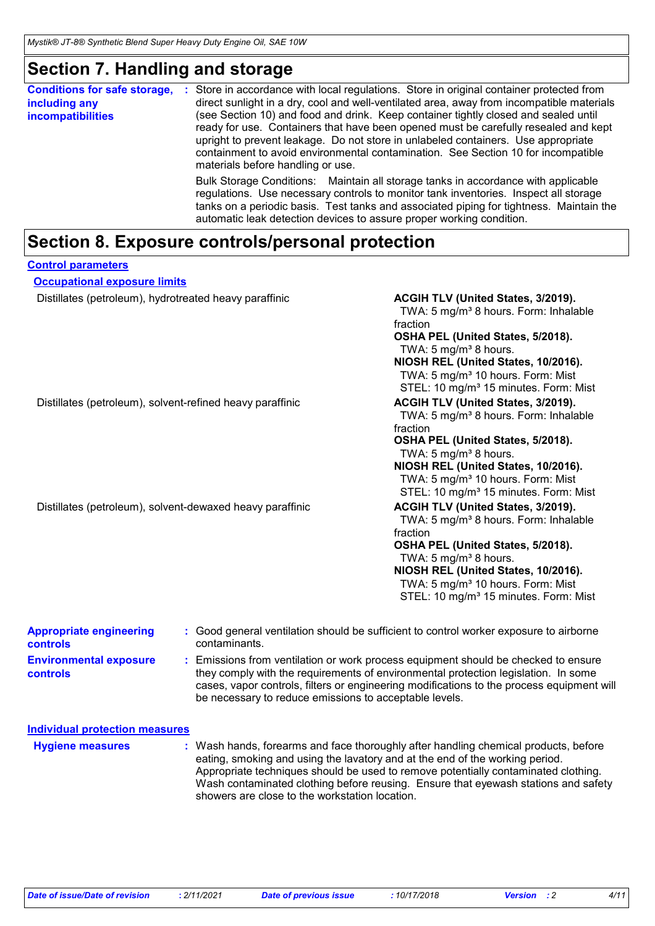## **Section 7. Handling and storage**

| <b>Conditions for safe storage,</b><br>including any<br>incompatibilities | Store in accordance with local regulations. Store in original container protected from<br>direct sunlight in a dry, cool and well-ventilated area, away from incompatible materials<br>(see Section 10) and food and drink. Keep container tightly closed and sealed until<br>ready for use. Containers that have been opened must be carefully resealed and kept<br>upright to prevent leakage. Do not store in unlabeled containers. Use appropriate<br>containment to avoid environmental contamination. See Section 10 for incompatible<br>materials before handling or use. |
|---------------------------------------------------------------------------|----------------------------------------------------------------------------------------------------------------------------------------------------------------------------------------------------------------------------------------------------------------------------------------------------------------------------------------------------------------------------------------------------------------------------------------------------------------------------------------------------------------------------------------------------------------------------------|
|                                                                           | Bulk Storage Conditions: Maintain all storage tanks in accordance with applicable<br>regulations. Use necessary controls to monitor tank inventories. Inspect all storage<br>tanks on a periodic basis. Test tanks and associated piping for tightness. Maintain the<br>automatic leak detection devices to assure proper working condition.                                                                                                                                                                                                                                     |

## **Section 8. Exposure controls/personal protection**

| <b>Control parameters</b>                                 |                                                                                                                                                                                                                                                                                                                                                                                                 |                                                                                                                                                                                                                                                                                                                            |  |  |
|-----------------------------------------------------------|-------------------------------------------------------------------------------------------------------------------------------------------------------------------------------------------------------------------------------------------------------------------------------------------------------------------------------------------------------------------------------------------------|----------------------------------------------------------------------------------------------------------------------------------------------------------------------------------------------------------------------------------------------------------------------------------------------------------------------------|--|--|
| <b>Occupational exposure limits</b>                       |                                                                                                                                                                                                                                                                                                                                                                                                 |                                                                                                                                                                                                                                                                                                                            |  |  |
| Distillates (petroleum), hydrotreated heavy paraffinic    |                                                                                                                                                                                                                                                                                                                                                                                                 | ACGIH TLV (United States, 3/2019).<br>TWA: 5 mg/m <sup>3</sup> 8 hours. Form: Inhalable<br>fraction<br>OSHA PEL (United States, 5/2018).<br>TWA: 5 mg/m <sup>3</sup> 8 hours.<br>NIOSH REL (United States, 10/2016).<br>TWA: 5 mg/m <sup>3</sup> 10 hours. Form: Mist<br>STEL: 10 mg/m <sup>3</sup> 15 minutes. Form: Mist |  |  |
| Distillates (petroleum), solvent-refined heavy paraffinic |                                                                                                                                                                                                                                                                                                                                                                                                 | ACGIH TLV (United States, 3/2019).<br>TWA: 5 mg/m <sup>3</sup> 8 hours. Form: Inhalable<br>fraction<br>OSHA PEL (United States, 5/2018).<br>TWA: 5 mg/m <sup>3</sup> 8 hours.<br>NIOSH REL (United States, 10/2016).<br>TWA: 5 mg/m <sup>3</sup> 10 hours. Form: Mist<br>STEL: 10 mg/m <sup>3</sup> 15 minutes. Form: Mist |  |  |
| Distillates (petroleum), solvent-dewaxed heavy paraffinic |                                                                                                                                                                                                                                                                                                                                                                                                 | ACGIH TLV (United States, 3/2019).<br>TWA: 5 mg/m <sup>3</sup> 8 hours. Form: Inhalable<br>fraction<br>OSHA PEL (United States, 5/2018).<br>TWA: 5 mg/m <sup>3</sup> 8 hours.<br>NIOSH REL (United States, 10/2016).<br>TWA: 5 mg/m <sup>3</sup> 10 hours. Form: Mist<br>STEL: 10 mg/m <sup>3</sup> 15 minutes. Form: Mist |  |  |
| <b>Appropriate engineering</b><br><b>controls</b>         | contaminants.                                                                                                                                                                                                                                                                                                                                                                                   | : Good general ventilation should be sufficient to control worker exposure to airborne                                                                                                                                                                                                                                     |  |  |
| <b>Environmental exposure</b><br>controls                 | be necessary to reduce emissions to acceptable levels.                                                                                                                                                                                                                                                                                                                                          | : Emissions from ventilation or work process equipment should be checked to ensure<br>they comply with the requirements of environmental protection legislation. In some<br>cases, vapor controls, filters or engineering modifications to the process equipment will                                                      |  |  |
| <b>Individual protection measures</b>                     |                                                                                                                                                                                                                                                                                                                                                                                                 |                                                                                                                                                                                                                                                                                                                            |  |  |
| <b>Hygiene measures</b>                                   | Wash hands, forearms and face thoroughly after handling chemical products, before<br>eating, smoking and using the lavatory and at the end of the working period.<br>Appropriate techniques should be used to remove potentially contaminated clothing.<br>Wash contaminated clothing before reusing. Ensure that eyewash stations and safety<br>showers are close to the workstation location. |                                                                                                                                                                                                                                                                                                                            |  |  |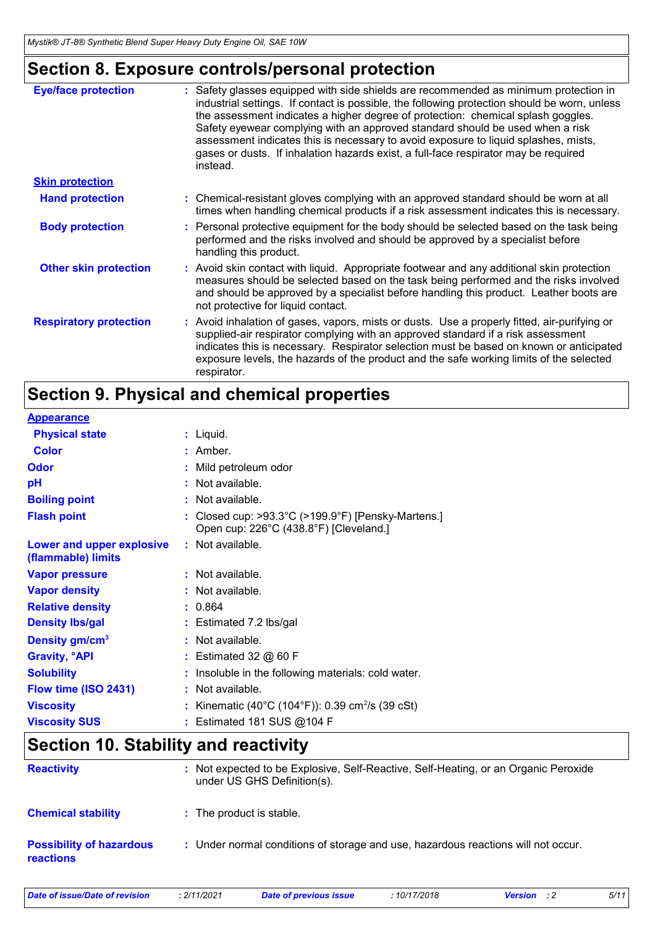## **Section 8. Exposure controls/personal protection**

| <b>Eye/face protection</b>    | : Safety glasses equipped with side shields are recommended as minimum protection in<br>industrial settings. If contact is possible, the following protection should be worn, unless<br>the assessment indicates a higher degree of protection: chemical splash goggles.<br>Safety eyewear complying with an approved standard should be used when a risk<br>assessment indicates this is necessary to avoid exposure to liquid splashes, mists,<br>gases or dusts. If inhalation hazards exist, a full-face respirator may be required<br>instead. |
|-------------------------------|-----------------------------------------------------------------------------------------------------------------------------------------------------------------------------------------------------------------------------------------------------------------------------------------------------------------------------------------------------------------------------------------------------------------------------------------------------------------------------------------------------------------------------------------------------|
| <b>Skin protection</b>        |                                                                                                                                                                                                                                                                                                                                                                                                                                                                                                                                                     |
| <b>Hand protection</b>        | : Chemical-resistant gloves complying with an approved standard should be worn at all<br>times when handling chemical products if a risk assessment indicates this is necessary.                                                                                                                                                                                                                                                                                                                                                                    |
| <b>Body protection</b>        | : Personal protective equipment for the body should be selected based on the task being<br>performed and the risks involved and should be approved by a specialist before<br>handling this product.                                                                                                                                                                                                                                                                                                                                                 |
| <b>Other skin protection</b>  | : Avoid skin contact with liquid. Appropriate footwear and any additional skin protection<br>measures should be selected based on the task being performed and the risks involved<br>and should be approved by a specialist before handling this product. Leather boots are<br>not protective for liquid contact.                                                                                                                                                                                                                                   |
| <b>Respiratory protection</b> | : Avoid inhalation of gases, vapors, mists or dusts. Use a properly fitted, air-purifying or<br>supplied-air respirator complying with an approved standard if a risk assessment<br>indicates this is necessary. Respirator selection must be based on known or anticipated<br>exposure levels, the hazards of the product and the safe working limits of the selected<br>respirator.                                                                                                                                                               |

## **Section 9. Physical and chemical properties**

| <b>Appearance</b>                               |                                                                                                                 |
|-------------------------------------------------|-----------------------------------------------------------------------------------------------------------------|
| <b>Physical state</b>                           | $:$ Liquid.                                                                                                     |
| <b>Color</b>                                    | $:$ Amber.                                                                                                      |
| Odor                                            | Mild petroleum odor                                                                                             |
| pH                                              | : Not available.                                                                                                |
| <b>Boiling point</b>                            | : Not available.                                                                                                |
| <b>Flash point</b>                              | Closed cup: $>93.3^{\circ}$ C ( $>199.9^{\circ}$ F) [Pensky-Martens.]<br>Open cup: 226°C (438.8°F) [Cleveland.] |
| Lower and upper explosive<br>(flammable) limits | : Not available.                                                                                                |
| <b>Vapor pressure</b>                           | : Not available.                                                                                                |
| <b>Vapor density</b>                            | : Not available.                                                                                                |
| <b>Relative density</b>                         | : 0.864                                                                                                         |
| <b>Density Ibs/gal</b>                          | : Estimated 7.2 lbs/gal                                                                                         |
| Density gm/cm <sup>3</sup>                      | : Not available.                                                                                                |
| <b>Gravity, <sup>o</sup>API</b>                 | : Estimated 32 $@$ 60 F                                                                                         |
| <b>Solubility</b>                               | Insoluble in the following materials: cold water.                                                               |
| Flow time (ISO 2431)                            | : Not available.                                                                                                |
| <b>Viscosity</b>                                | Kinematic (40°C (104°F)): 0.39 cm <sup>2</sup> /s (39 cSt)                                                      |
| <b>Viscosity SUS</b>                            | Estimated 181 SUS @104 F                                                                                        |

## **Section 10. Stability and reactivity**

| <b>Reactivity</b>                                   | : Not expected to be Explosive, Self-Reactive, Self-Heating, or an Organic Peroxide<br>under US GHS Definition(s). |
|-----------------------------------------------------|--------------------------------------------------------------------------------------------------------------------|
| <b>Chemical stability</b>                           | : The product is stable.                                                                                           |
| <b>Possibility of hazardous</b><br><b>reactions</b> | : Under normal conditions of storage and use, hazardous reactions will not occur.                                  |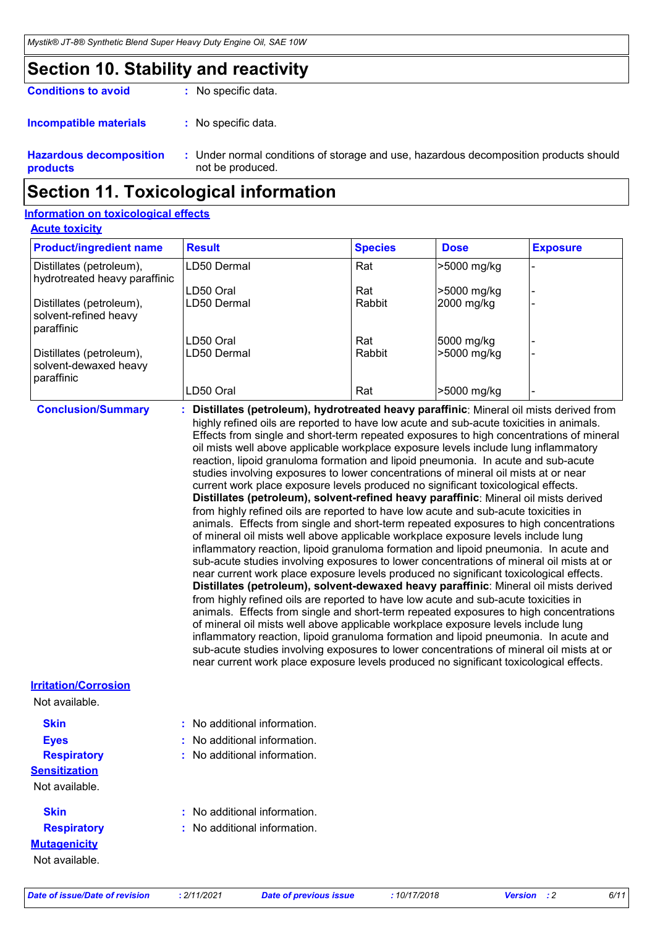## **Section 10. Stability and reactivity**

| <b>Conditions to avoid</b>     | : No specific data.      |
|--------------------------------|--------------------------|
| Incompatible materials         | : No specific data.      |
| <b>Hazardous decomposition</b> | : Under normal condition |

**Hazardous decomposition products** ditions of storage and use, hazardous decomposition products should not be produced. **:**

## **Section 11. Toxicological information**

#### **Acute toxicity Information on toxicological effects**

| <b>Product/ingredient name</b>                                    | <b>Result</b> | <b>Species</b> | <b>Dose</b> | <b>Exposure</b> |
|-------------------------------------------------------------------|---------------|----------------|-------------|-----------------|
| Distillates (petroleum),<br>hydrotreated heavy paraffinic         | LD50 Dermal   | Rat            | >5000 mg/kg |                 |
|                                                                   | LD50 Oral     | Rat            | >5000 mg/kg |                 |
| Distillates (petroleum),<br>solvent-refined heavy<br>I paraffinic | LD50 Dermal   | Rabbit         | 2000 mg/kg  |                 |
|                                                                   | LD50 Oral     | Rat            | 5000 mg/kg  |                 |
| Distillates (petroleum),<br>solvent-dewaxed heavy<br>paraffinic   | LD50 Dermal   | Rabbit         | >5000 mg/kg |                 |
|                                                                   | LD50 Oral     | Rat            | >5000 mg/kg |                 |

**Conclusion/Summary : Distillates (petroleum), hydrotreated heavy paraffinic**: Mineral oil mists derived from highly refined oils are reported to have low acute and sub-acute toxicities in animals. Effects from single and short-term repeated exposures to high concentrations of mineral oil mists well above applicable workplace exposure levels include lung inflammatory reaction, lipoid granuloma formation and lipoid pneumonia. In acute and sub-acute studies involving exposures to lower concentrations of mineral oil mists at or near current work place exposure levels produced no significant toxicological effects. **Distillates (petroleum), solvent-refined heavy paraffinic**: Mineral oil mists derived from highly refined oils are reported to have low acute and sub-acute toxicities in animals. Effects from single and short-term repeated exposures to high concentrations of mineral oil mists well above applicable workplace exposure levels include lung inflammatory reaction, lipoid granuloma formation and lipoid pneumonia. In acute and sub-acute studies involving exposures to lower concentrations of mineral oil mists at or near current work place exposure levels produced no significant toxicological effects. **Distillates (petroleum), solvent-dewaxed heavy paraffinic**: Mineral oil mists derived from highly refined oils are reported to have low acute and sub-acute toxicities in animals. Effects from single and short-term repeated exposures to high concentrations of mineral oil mists well above applicable workplace exposure levels include lung inflammatory reaction, lipoid granuloma formation and lipoid pneumonia. In acute and sub-acute studies involving exposures to lower concentrations of mineral oil mists at or near current work place exposure levels produced no significant toxicological effects.

**Irritation/Corrosion**

| Not available.       |                              |  |
|----------------------|------------------------------|--|
| <b>Skin</b>          | : No additional information. |  |
| <b>Eyes</b>          | : No additional information. |  |
| <b>Respiratory</b>   | : No additional information. |  |
| <b>Sensitization</b> |                              |  |
| Not available.       |                              |  |
| <b>Skin</b>          | : No additional information. |  |
| <b>Respiratory</b>   | : No additional information. |  |
| <b>Mutagenicity</b>  |                              |  |
| Not available.       |                              |  |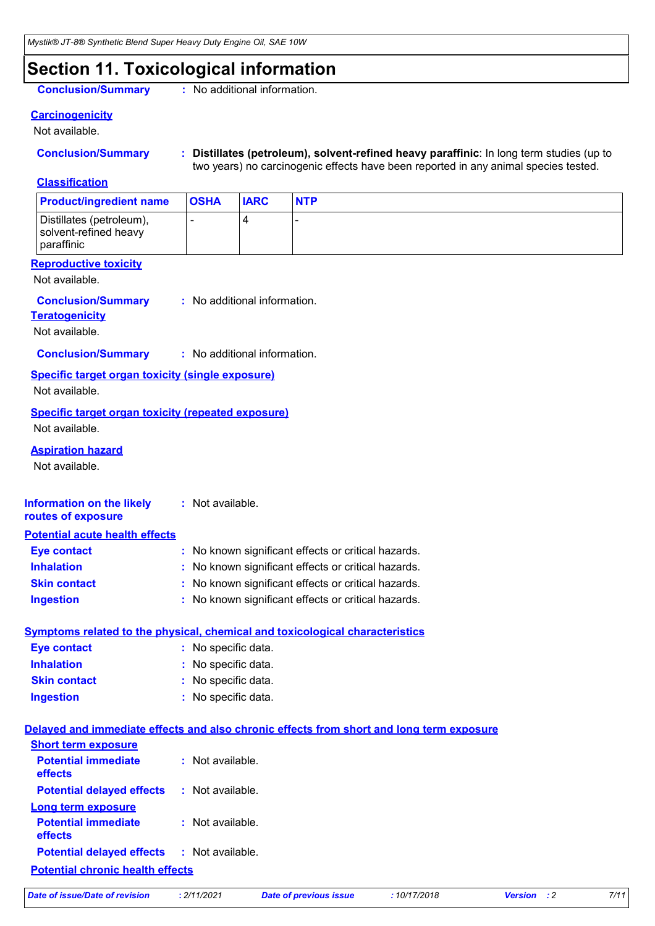## **Section 11. Toxicological information**

**Conclusion/Summary :** No additional information.

### **Carcinogenicity**

Not available.

- 
- **Conclusion/Summary : Distillates (petroleum), solvent-refined heavy paraffinic**: In long term studies (up to two years) no carcinogenic effects have been reported in any animal species tested.

#### **Classification**

| <b>Product/ingredient name</b>                                  | <b>OSHA</b> | <b>IARC</b> | <b>NTP</b> |
|-----------------------------------------------------------------|-------------|-------------|------------|
| Distillates (petroleum),<br>solvent-refined heavy<br>paraffinic |             |             |            |

#### **Reproductive toxicity**

Not available.

: No additional information. **Conclusion/Summary :**

#### **Teratogenicity**

Not available.

**Conclusion/Summary :** No additional information.

**Specific target organ toxicity (single exposure)** Not available.

#### **Specific target organ toxicity (repeated exposure)** Not available.

#### **Aspiration hazard**

Not available.

| Information on the likely<br>routes of exposure | : Not available.                                                                                                                                                                                                                  |
|-------------------------------------------------|-----------------------------------------------------------------------------------------------------------------------------------------------------------------------------------------------------------------------------------|
| <b>Potential acute health effects</b>           |                                                                                                                                                                                                                                   |
| <b>Eye contact</b>                              | : No known significant effects or critical hazards.                                                                                                                                                                               |
| <b>Inhalation</b>                               | : No known significant effects or critical hazards.                                                                                                                                                                               |
| <b>Skin contact</b>                             | : No known significant effects or critical hazards.                                                                                                                                                                               |
|                                                 | $\mathbf{r}$ , and the contract of the contract of the contract of the contract of the contract of the contract of the contract of the contract of the contract of the contract of the contract of the contract of the contract o |

### **Ingestion :** No known significant effects or critical hazards.

#### **Symptoms related to the physical, chemical and toxicological characteristics Eye contact :** No specific data.

| <b>EVE CONTACT</b>  | $\therefore$ No specific data. |
|---------------------|--------------------------------|
| <b>Inhalation</b>   | : No specific data.            |
| <b>Skin contact</b> | : No specific data.            |
| <b>Ingestion</b>    | : No specific data.            |

#### **Delayed and immediate effects and also chronic effects from short and long term exposure**

| <b>Short term exposure</b>              |                    |
|-----------------------------------------|--------------------|
| <b>Potential immediate</b><br>effects   | $:$ Not available  |
| <b>Potential delayed effects</b>        | $:$ Not available. |
| <b>Long term exposure</b>               |                    |
| <b>Potential immediate</b><br>effects   | $:$ Not available. |
| <b>Potential delayed effects</b>        | $:$ Not available. |
| <b>Potential chronic health effects</b> |                    |

| Date of issue/Date of revision |  |  |  |  |  |  |  |
|--------------------------------|--|--|--|--|--|--|--|
|--------------------------------|--|--|--|--|--|--|--|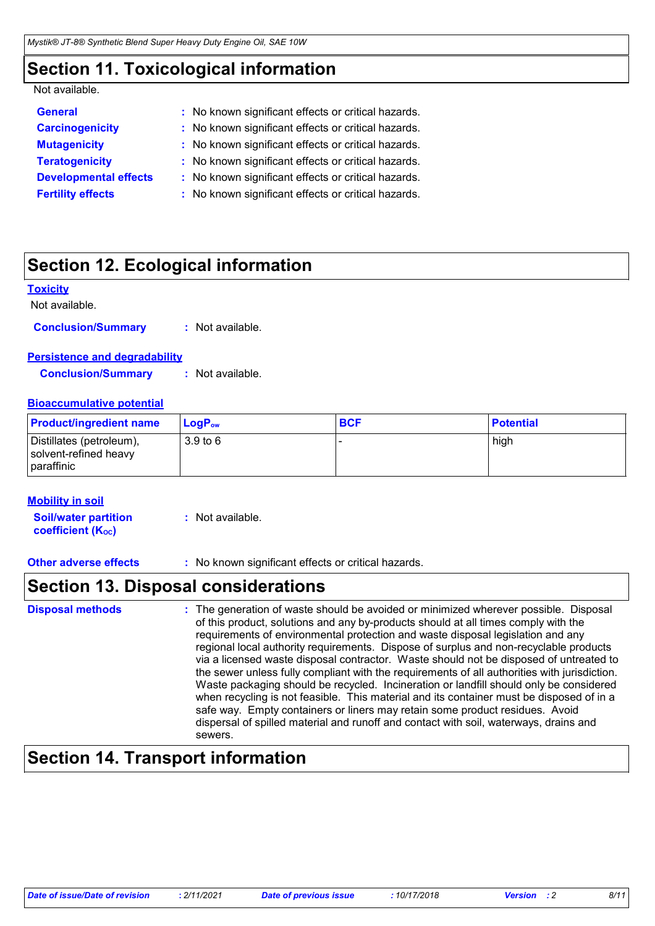## **Section 11. Toxicological information**

#### Not available.

| <b>General</b>               | : No known significant effects or critical hazards. |
|------------------------------|-----------------------------------------------------|
| <b>Carcinogenicity</b>       | : No known significant effects or critical hazards. |
| <b>Mutagenicity</b>          | : No known significant effects or critical hazards. |
| <b>Teratogenicity</b>        | : No known significant effects or critical hazards. |
| <b>Developmental effects</b> | : No known significant effects or critical hazards. |
| <b>Fertility effects</b>     | : No known significant effects or critical hazards. |

## **Section 12. Ecological information**

#### **Toxicity**

#### Not available.

**Conclusion/Summary :** Not available.

#### **Persistence and degradability**

**Conclusion/Summary :** Not available.

#### **Bioaccumulative potential**

| <b>Product/ingredient name</b>                                  | $\mathsf{LogP}_\mathsf{ow}$ | <b>BCF</b> | <b>Potential</b> |
|-----------------------------------------------------------------|-----------------------------|------------|------------------|
| Distillates (petroleum),<br>solvent-refined heavy<br>paraffinic | 3.9 <sub>to</sub> 6         |            | high             |

#### **Mobility in soil**

**Soil/water partition coefficient (KOC) :** Not available.

**Other adverse effects** : No known significant effects or critical hazards.

## **Section 13. Disposal considerations**

| <b>Disposal methods</b> | : The generation of waste should be avoided or minimized wherever possible. Disposal<br>of this product, solutions and any by-products should at all times comply with the<br>requirements of environmental protection and waste disposal legislation and any<br>regional local authority requirements. Dispose of surplus and non-recyclable products<br>via a licensed waste disposal contractor. Waste should not be disposed of untreated to<br>the sewer unless fully compliant with the requirements of all authorities with jurisdiction.<br>Waste packaging should be recycled. Incineration or landfill should only be considered<br>when recycling is not feasible. This material and its container must be disposed of in a<br>safe way. Empty containers or liners may retain some product residues. Avoid<br>dispersal of spilled material and runoff and contact with soil, waterways, drains and<br>sewers. |
|-------------------------|----------------------------------------------------------------------------------------------------------------------------------------------------------------------------------------------------------------------------------------------------------------------------------------------------------------------------------------------------------------------------------------------------------------------------------------------------------------------------------------------------------------------------------------------------------------------------------------------------------------------------------------------------------------------------------------------------------------------------------------------------------------------------------------------------------------------------------------------------------------------------------------------------------------------------|
|-------------------------|----------------------------------------------------------------------------------------------------------------------------------------------------------------------------------------------------------------------------------------------------------------------------------------------------------------------------------------------------------------------------------------------------------------------------------------------------------------------------------------------------------------------------------------------------------------------------------------------------------------------------------------------------------------------------------------------------------------------------------------------------------------------------------------------------------------------------------------------------------------------------------------------------------------------------|

## **Section 14. Transport information**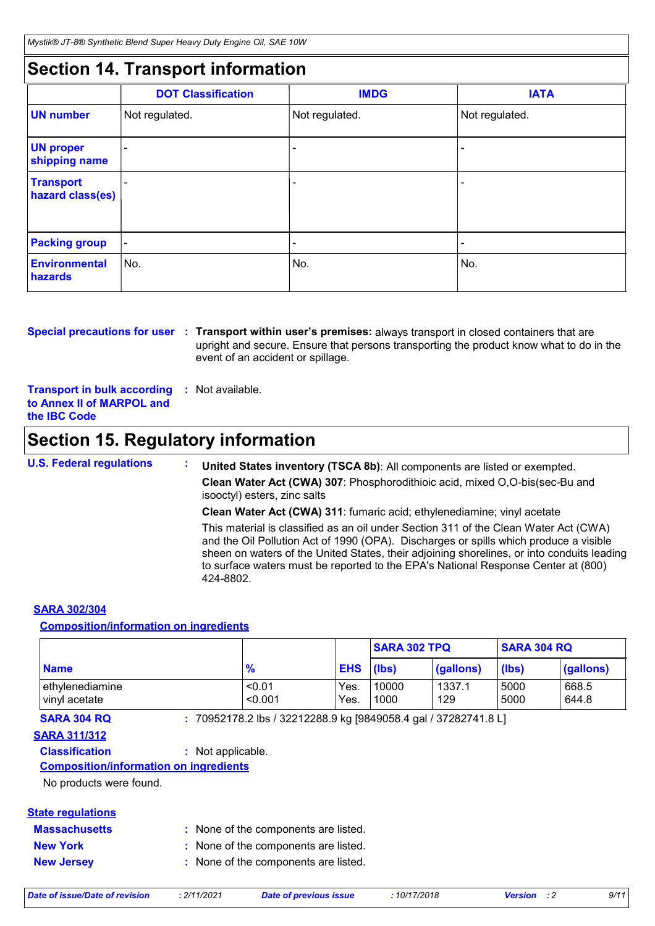## **Section 14. Transport information**

|                                      | <b>DOT Classification</b> | <b>IMDG</b>    | <b>IATA</b>              |
|--------------------------------------|---------------------------|----------------|--------------------------|
| <b>UN number</b>                     | Not regulated.            | Not regulated. | Not regulated.           |
| <b>UN proper</b><br>shipping name    | $\overline{\phantom{0}}$  |                | $\overline{\phantom{0}}$ |
| <b>Transport</b><br>hazard class(es) |                           |                | $\overline{\phantom{0}}$ |
| <b>Packing group</b>                 | $\overline{\phantom{a}}$  |                | $\overline{\phantom{0}}$ |
| <b>Environmental</b><br>hazards      | No.                       | No.            | No.                      |

**Special precautions for user** : Transport within user's premises: always transport in closed containers that are upright and secure. Ensure that persons transporting the product know what to do in the event of an accident or spillage.

**Transport in bulk according :** Not available. **to Annex II of MARPOL and the IBC Code**

## **Section 15. Regulatory information**

**U.S. Federal regulations : United States inventory (TSCA 8b)**: All components are listed or exempted. **Clean Water Act (CWA) 307**: Phosphorodithioic acid, mixed O,O-bis(sec-Bu and isooctyl) esters, zinc salts **Clean Water Act (CWA) 311**: fumaric acid; ethylenediamine; vinyl acetate This material is classified as an oil under Section 311 of the Clean Water Act (CWA) and the Oil Pollution Act of 1990 (OPA). Discharges or spills which produce a visible sheen on waters of the United States, their adjoining shorelines, or into conduits leading to surface waters must be reported to the EPA's National Response Center at (800) 424-8802.

#### **SARA 302/304**

#### **Composition/information on ingredients**

|                                  |                   |                  | <b>SARA 302 TPQ</b> |               | <b>SARA 304 RQ</b> |                |
|----------------------------------|-------------------|------------------|---------------------|---------------|--------------------|----------------|
| <b>Name</b>                      | $\frac{9}{6}$     | <b>EHS</b> (lbs) |                     | (gallons)     | $(\mathsf{lbs})$   | (gallons)      |
| ethylenediamine<br>vinyl acetate | < 0.01<br>< 0.001 | Yes.<br>Yes.     | 10000<br>1000       | 1337.1<br>129 | 5000<br>5000       | 668.5<br>644.8 |

**SARA 304 RQ :** 70952178.2 lbs / 32212288.9 kg [9849058.4 gal / 37282741.8 L]

#### **SARA 311/312**

### **Classification :** Not applicable.

**Composition/information on ingredients**

No products were found.

#### **State regulations**

| <b>Massachusetts</b>       | : None of the components are listed. |
|----------------------------|--------------------------------------|
| <b>New York</b>            | : None of the components are listed. |
| <b>Alexander Alexander</b> |                                      |

```
New Jersey : None of the components are listed.
```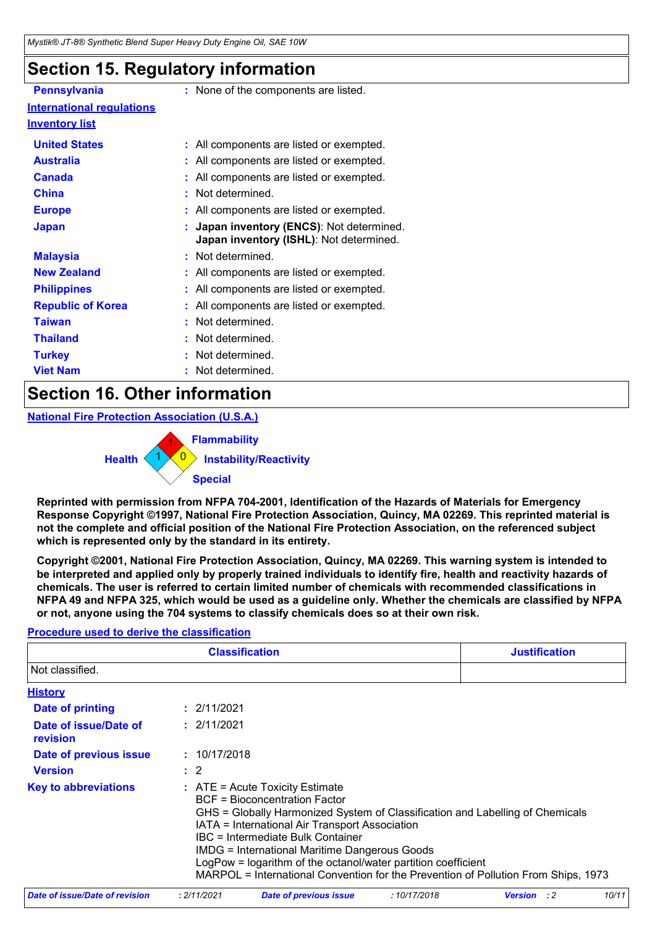## **Section 15. Regulatory information**

| <b>Pennsylvania</b>              | : None of the components are listed.                                               |  |
|----------------------------------|------------------------------------------------------------------------------------|--|
| <b>International requlations</b> |                                                                                    |  |
| <u>Inventory list</u>            |                                                                                    |  |
| <b>United States</b>             | : All components are listed or exempted.                                           |  |
| <b>Australia</b>                 | : All components are listed or exempted.                                           |  |
| <b>Canada</b>                    | : All components are listed or exempted.                                           |  |
| <b>China</b>                     | : Not determined.                                                                  |  |
| <b>Europe</b>                    | : All components are listed or exempted.                                           |  |
| <b>Japan</b>                     | Japan inventory (ENCS): Not determined.<br>Japan inventory (ISHL): Not determined. |  |
| <b>Malaysia</b>                  | Not determined.                                                                    |  |
| <b>New Zealand</b>               | : All components are listed or exempted.                                           |  |
| <b>Philippines</b>               | : All components are listed or exempted.                                           |  |
| <b>Republic of Korea</b>         | : All components are listed or exempted.                                           |  |
| <b>Taiwan</b>                    | Not determined.                                                                    |  |
| <b>Thailand</b>                  | Not determined.                                                                    |  |
| <b>Turkey</b>                    | Not determined.                                                                    |  |
| <b>Viet Nam</b>                  | Not determined.                                                                    |  |
|                                  |                                                                                    |  |

## **Section 16. Other information**

**National Fire Protection Association (U.S.A.)**

0 **Instability/Reactivity** 1 **Flammability**  $1 \times 0$ **Health Special**

**Reprinted with permission from NFPA 704-2001, Identification of the Hazards of Materials for Emergency Response Copyright ©1997, National Fire Protection Association, Quincy, MA 02269. This reprinted material is not the complete and official position of the National Fire Protection Association, on the referenced subject which is represented only by the standard in its entirety.**

**Copyright ©2001, National Fire Protection Association, Quincy, MA 02269. This warning system is intended to be interpreted and applied only by properly trained individuals to identify fire, health and reactivity hazards of chemicals. The user is referred to certain limited number of chemicals with recommended classifications in NFPA 49 and NFPA 325, which would be used as a guideline only. Whether the chemicals are classified by NFPA or not, anyone using the 704 systems to classify chemicals does so at their own risk.**

#### **Procedure used to derive the classification**

|                                   | <b>Classification</b>                                                                                                                                                                                                                                                                                                                                                                                                                                                     | <b>Justification</b> |
|-----------------------------------|---------------------------------------------------------------------------------------------------------------------------------------------------------------------------------------------------------------------------------------------------------------------------------------------------------------------------------------------------------------------------------------------------------------------------------------------------------------------------|----------------------|
| Not classified.                   |                                                                                                                                                                                                                                                                                                                                                                                                                                                                           |                      |
| <b>History</b>                    |                                                                                                                                                                                                                                                                                                                                                                                                                                                                           |                      |
| Date of printing                  | : 2/11/2021                                                                                                                                                                                                                                                                                                                                                                                                                                                               |                      |
| Date of issue/Date of<br>revision | : 2/11/2021                                                                                                                                                                                                                                                                                                                                                                                                                                                               |                      |
| Date of previous issue            | : 10/17/2018                                                                                                                                                                                                                                                                                                                                                                                                                                                              |                      |
| <b>Version</b>                    | $\therefore$ 2                                                                                                                                                                                                                                                                                                                                                                                                                                                            |                      |
| <b>Key to abbreviations</b>       | $\therefore$ ATE = Acute Toxicity Estimate<br><b>BCF</b> = Bioconcentration Factor<br>GHS = Globally Harmonized System of Classification and Labelling of Chemicals<br>IATA = International Air Transport Association<br>IBC = Intermediate Bulk Container<br><b>IMDG = International Maritime Dangerous Goods</b><br>LogPow = logarithm of the octanol/water partition coefficient<br>MARPOL = International Convention for the Prevention of Pollution From Ships, 1973 |                      |